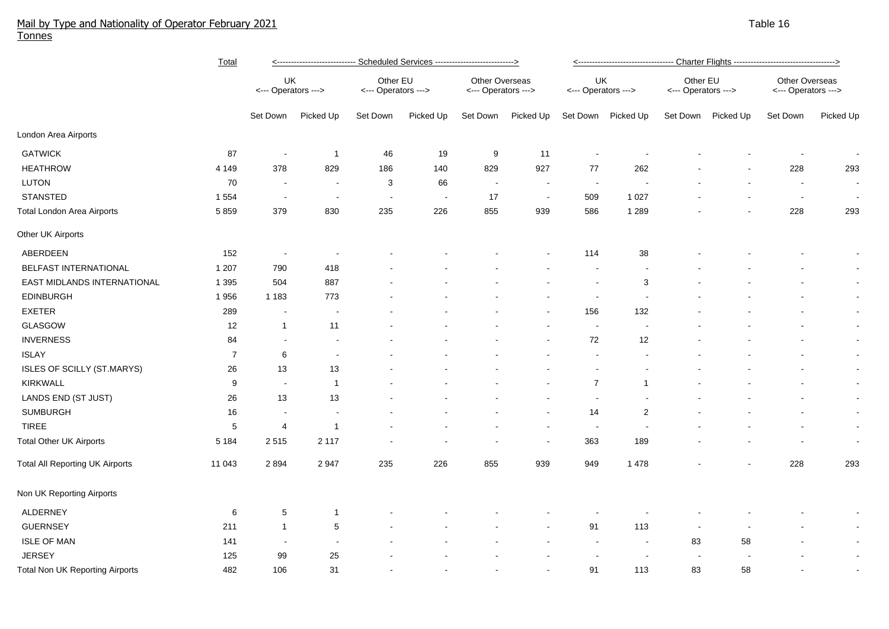## Mail by Type and Nationality of Operator February 2021 Table 16 and the state of the state of the state of the state 16 and the state 16 and the state 16 and the state 16 and the 16 and the state 16 and the state 16 and th Tonnes

|                                        | <b>Total</b>   | <u>&lt;---------------------------- Scheduled Services ----------------------------&gt;</u> |                          |                                 |                          |                                       |                |                           |                          |                                 |                    |                                       |           |
|----------------------------------------|----------------|---------------------------------------------------------------------------------------------|--------------------------|---------------------------------|--------------------------|---------------------------------------|----------------|---------------------------|--------------------------|---------------------------------|--------------------|---------------------------------------|-----------|
|                                        |                | UK<br><--- Operators --->                                                                   |                          | Other EU<br><--- Operators ---> |                          | Other Overseas<br><--- Operators ---> |                | UK<br><--- Operators ---> |                          | Other EU<br><--- Operators ---> |                    | Other Overseas<br><--- Operators ---> |           |
|                                        |                | Set Down                                                                                    | Picked Up                | Set Down                        | Picked Up                | Set Down                              | Picked Up      | Set Down                  | Picked Up                |                                 | Set Down Picked Up | Set Down                              | Picked Up |
| London Area Airports                   |                |                                                                                             |                          |                                 |                          |                                       |                |                           |                          |                                 |                    |                                       |           |
| <b>GATWICK</b>                         | 87             | $\sim$                                                                                      | $\overline{1}$           | 46                              | 19                       | 9                                     | 11             |                           |                          |                                 |                    |                                       | $\sim$    |
| <b>HEATHROW</b>                        | 4 1 4 9        | 378                                                                                         | 829                      | 186                             | 140                      | 829                                   | 927            | 77                        | 262                      |                                 |                    | 228                                   | 293       |
| LUTON                                  | 70             | $\sim$                                                                                      | $\sim$                   | 3                               | 66                       | $\sim$                                | $\blacksquare$ | $\sim$                    | $\overline{\phantom{a}}$ |                                 |                    | $\sim$                                | $\sim$    |
| <b>STANSTED</b>                        | 1 5 5 4        | $\sim$                                                                                      | $\blacksquare$           | $\blacksquare$                  | $\overline{\phantom{a}}$ | 17                                    | $\sim$         | 509                       | 1 0 2 7                  |                                 |                    | $\sim$                                | $\sim$    |
| <b>Total London Area Airports</b>      | 5859           | 379                                                                                         | 830                      | 235                             | 226                      | 855                                   | 939            | 586                       | 1 2 8 9                  |                                 |                    | 228                                   | 293       |
| Other UK Airports                      |                |                                                                                             |                          |                                 |                          |                                       |                |                           |                          |                                 |                    |                                       |           |
| ABERDEEN                               | 152            |                                                                                             |                          |                                 |                          |                                       |                | 114                       | 38                       |                                 |                    |                                       |           |
| BELFAST INTERNATIONAL                  | 1 207          | 790                                                                                         | 418                      |                                 |                          |                                       |                |                           |                          |                                 |                    |                                       | $\sim$    |
| EAST MIDLANDS INTERNATIONAL            | 1 3 9 5        | 504                                                                                         | 887                      |                                 |                          |                                       |                |                           | 3                        |                                 |                    |                                       | $\sim$    |
| <b>EDINBURGH</b>                       | 1956           | 1 1 8 3                                                                                     | 773                      |                                 |                          |                                       |                |                           |                          |                                 |                    |                                       | $\sim$    |
| <b>EXETER</b>                          | 289            | $\overline{\phantom{a}}$                                                                    |                          |                                 |                          |                                       |                | 156                       | 132                      |                                 |                    |                                       | $\sim$    |
| GLASGOW                                | 12             | $\mathbf{1}$                                                                                | 11                       |                                 |                          |                                       |                | $\blacksquare$            |                          |                                 |                    |                                       | $\sim$    |
| <b>INVERNESS</b>                       | 84             | $\blacksquare$                                                                              | $\overline{\phantom{a}}$ |                                 |                          |                                       |                | 72                        | 12                       |                                 |                    |                                       | $\sim$    |
| <b>ISLAY</b>                           | $\overline{7}$ | 6                                                                                           | $\overline{\phantom{a}}$ |                                 |                          |                                       |                | $\sim$                    |                          |                                 |                    | $\blacksquare$                        | $\sim$    |
| ISLES OF SCILLY (ST.MARYS)             | 26             | 13                                                                                          | 13                       |                                 |                          |                                       |                |                           |                          |                                 |                    | $\blacksquare$                        | $\sim$    |
| KIRKWALL                               | 9              | $\sim$                                                                                      | $\mathbf{1}$             |                                 |                          |                                       |                | $\overline{7}$            | -1                       |                                 |                    |                                       | $\sim$    |
| LANDS END (ST JUST)                    | 26             | 13                                                                                          | 13                       |                                 |                          |                                       |                | $\overline{\phantom{a}}$  |                          |                                 |                    |                                       | $\sim$    |
| <b>SUMBURGH</b>                        | 16             |                                                                                             |                          |                                 |                          |                                       |                | 14                        | $\overline{2}$           |                                 |                    |                                       | $\sim$    |
| <b>TIREE</b>                           | 5              | 4                                                                                           | -1                       |                                 |                          |                                       |                | $\sim$                    |                          |                                 |                    |                                       | $\sim$    |
| <b>Total Other UK Airports</b>         | 5 1 8 4        | 2515                                                                                        | 2 1 1 7                  |                                 |                          |                                       |                | 363                       | 189                      |                                 |                    |                                       | $\sim$    |
| <b>Total All Reporting UK Airports</b> | 11 043         | 2894                                                                                        | 2 9 4 7                  | 235                             | 226                      | 855                                   | 939            | 949                       | 1 4 7 8                  |                                 |                    | 228                                   | 293       |
| Non UK Reporting Airports              |                |                                                                                             |                          |                                 |                          |                                       |                |                           |                          |                                 |                    |                                       |           |
| <b>ALDERNEY</b>                        | $\,6\,$        | 5                                                                                           | -1                       |                                 |                          |                                       |                |                           |                          |                                 |                    |                                       |           |
| <b>GUERNSEY</b>                        | 211            | $\mathbf{1}$                                                                                | $\,$ 5 $\,$              |                                 |                          |                                       |                | 91                        | 113                      | $\blacksquare$                  |                    |                                       | $\sim$    |
| <b>ISLE OF MAN</b>                     | 141            |                                                                                             | $\blacksquare$           |                                 |                          |                                       |                | $\sim$                    | $\blacksquare$           | 83                              | 58                 |                                       | $\sim$    |
| <b>JERSEY</b>                          | 125            | 99                                                                                          | 25                       |                                 |                          |                                       |                |                           | $\overline{\phantom{a}}$ |                                 |                    |                                       | $\sim$    |
| <b>Total Non UK Reporting Airports</b> | 482            | 106                                                                                         | 31                       |                                 |                          |                                       |                | 91                        | 113                      | 83                              | 58                 |                                       | $\sim$    |